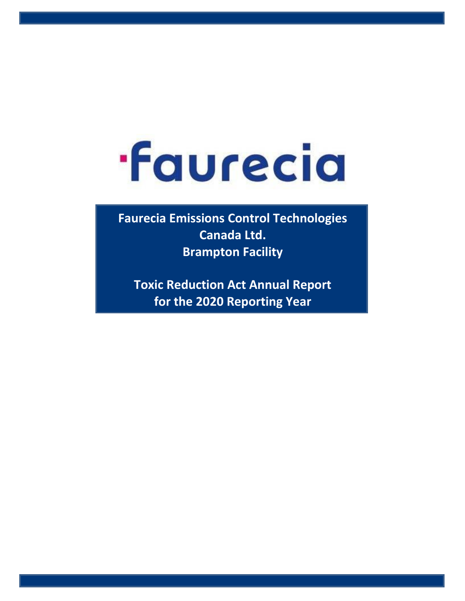## **·Faurecia**

**Faurecia Emissions Control Technologies Canada Ltd. Brampton Facility**

**Toxic Reduction Act Annual Report for the 2020 Reporting Year**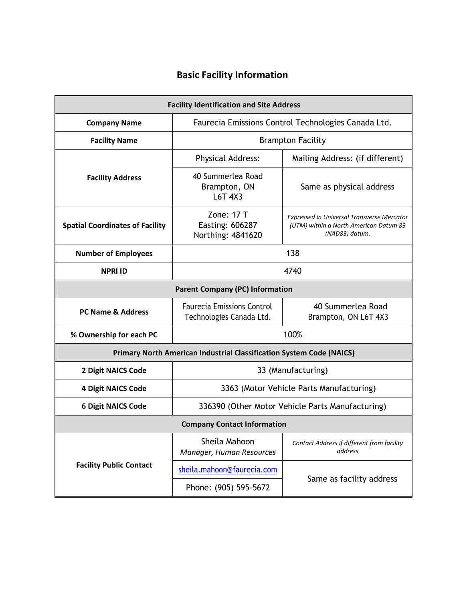## **Basic Facility Information**

| <b>Facility Identification and Site Address</b>                             |                                                               |                                                                                                               |  |  |  |  |  |  |  |  |  |  |
|-----------------------------------------------------------------------------|---------------------------------------------------------------|---------------------------------------------------------------------------------------------------------------|--|--|--|--|--|--|--|--|--|--|
| <b>Company Name</b>                                                         | Faurecia Emissions Control Technologies Canada Ltd.           |                                                                                                               |  |  |  |  |  |  |  |  |  |  |
| <b>Facility Name</b>                                                        |                                                               | <b>Brampton Facility</b>                                                                                      |  |  |  |  |  |  |  |  |  |  |
|                                                                             | <b>Physical Address:</b>                                      | Mailing Address: (if different)                                                                               |  |  |  |  |  |  |  |  |  |  |
| <b>Facility Address</b>                                                     | 40 Summerlea Road<br>Brampton, ON<br>L6T 4X3                  | Same as physical address                                                                                      |  |  |  |  |  |  |  |  |  |  |
| <b>Spatial Coordinates of Facility</b>                                      | Zone: $17T$<br>Easting: 606287<br>Northing: 4841620           | <b>Expressed in Universal Transverse Mercator</b><br>(UTM) within a North American Datum 83<br>(NAD83) datum. |  |  |  |  |  |  |  |  |  |  |
| <b>Number of Employees</b>                                                  | 138                                                           |                                                                                                               |  |  |  |  |  |  |  |  |  |  |
| 4740<br><b>NPRI ID</b>                                                      |                                                               |                                                                                                               |  |  |  |  |  |  |  |  |  |  |
| <b>Parent Company (PC) Information</b>                                      |                                                               |                                                                                                               |  |  |  |  |  |  |  |  |  |  |
| <b>PC Name &amp; Address</b>                                                | <b>Faurecia Emissions Control</b><br>Technologies Canada Ltd. | 40 Summerlea Road<br>Brampton, ON L6T 4X3                                                                     |  |  |  |  |  |  |  |  |  |  |
| % Ownership for each PC                                                     | 100%                                                          |                                                                                                               |  |  |  |  |  |  |  |  |  |  |
| <b>Primary North American Industrial Classification System Code (NAICS)</b> |                                                               |                                                                                                               |  |  |  |  |  |  |  |  |  |  |
| 2 Digit NAICS Code                                                          | 33 (Manufacturing)                                            |                                                                                                               |  |  |  |  |  |  |  |  |  |  |
| <b>4 Digit NAICS Code</b>                                                   | 3363 (Motor Vehicle Parts Manufacturing)                      |                                                                                                               |  |  |  |  |  |  |  |  |  |  |
| <b>6 Digit NAICS Code</b>                                                   | 336390 (Other Motor Vehicle Parts Manufacturing)              |                                                                                                               |  |  |  |  |  |  |  |  |  |  |
| <b>Company Contact Information</b>                                          |                                                               |                                                                                                               |  |  |  |  |  |  |  |  |  |  |
|                                                                             | Sheila Mahoon<br>Manager, Human Resources                     | Contact Address if different from facility<br>address                                                         |  |  |  |  |  |  |  |  |  |  |
| <b>Facility Public Contact</b>                                              | sheila.mahoon@faurecia.com                                    |                                                                                                               |  |  |  |  |  |  |  |  |  |  |
|                                                                             | Phone: (905) 595-5672                                         | Same as facility address                                                                                      |  |  |  |  |  |  |  |  |  |  |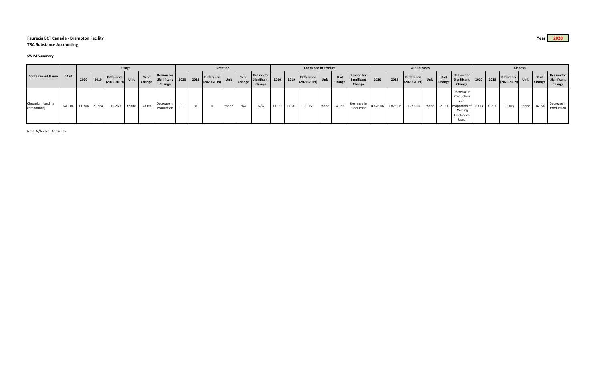## **Faurecia ECT Canada ‐ Brampton Facility Year 2020**

**TRA Substance Accounting**

## **SWIM Summary**

| <b>Contaminant Name</b>         |         | <b>Usage</b> |               |                                      |       |                |                                          |  | Creation         |                               |             |                         |                                          |               | <b>Contained In Product</b> |                                      |       |                |                                            | <b>Air Releases</b> |                   |                                                                |  |                         |                                                                                                 | Disposal |       |                                                                   |       |                       |                                     |
|---------------------------------|---------|--------------|---------------|--------------------------------------|-------|----------------|------------------------------------------|--|------------------|-------------------------------|-------------|-------------------------|------------------------------------------|---------------|-----------------------------|--------------------------------------|-------|----------------|--------------------------------------------|---------------------|-------------------|----------------------------------------------------------------|--|-------------------------|-------------------------------------------------------------------------------------------------|----------|-------|-------------------------------------------------------------------|-------|-----------------------|-------------------------------------|
|                                 | CAS#    | 2020         | 2019          | <b>Difference</b><br>$(2020 - 2019)$ | Unit  | % of<br>Change | Reason for<br>Significant 2020<br>Change |  | $\frac{1}{2019}$ | Difference<br>$(2020 - 2019)$ | <b>Unit</b> | $%$ of<br><b>Change</b> | Reason for<br>Significant 2020<br>Change |               | 2019                        | <b>Difference</b><br>$(2020 - 2019)$ | Unit  | % of<br>Change | <b>Reason for</b><br>Significant<br>Change | 2020                | 2019              | Difference<br>$\begin{vmatrix} 2020 - 2019 \end{vmatrix}$ Unit |  | $%$ of<br><b>Change</b> | Reason for<br>Significant<br>Change                                                             | 2020     |       | Difference<br>$\begin{vmatrix} 2019 \\ (2020-2019) \end{vmatrix}$ |       | $%$ of<br>Unit Change | Reason for<br>Significant<br>Change |
| Chromium (and its<br>compounds) | NA - 04 |              | 11.304 21.564 | $-10.260$                            | tonne | -47.6%         | Decrease in<br>Production                |  |                  |                               | tonne       | N/A                     | N/A                                      | 11.191 21.349 |                             | $-10.157$                            | tonne | $-47.6%$       | Decrease in<br>Production                  |                     | 4.62E-06 5.87E-06 | $-1.25E-06$ tonne                                              |  |                         | Decrease ir<br>Production<br>and<br>-21.3% Proportion of 0.113<br>Welding<br>Electrodes<br>Used |          | 0.216 | $-0.103$                                                          | tonne | -47.6%                | Decrease in<br>Production           |

Note: N/A = Not Applicable